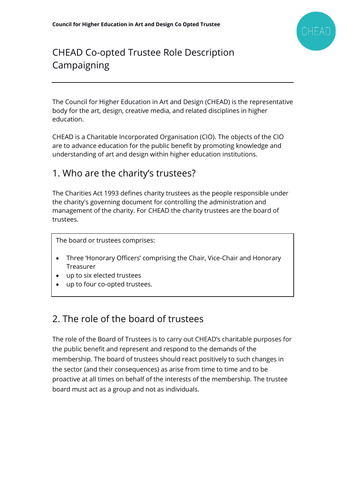

# CHEAD Co-opted Trustee Role Description Campaigning

The Council for Higher Education in Art and Design (CHEAD) is the representative body for the art, design, creative media, and related disciplines in higher education.

CHEAD is a Charitable Incorporated Organisation (CIO). The objects of the CIO are to advance education for the public benefit by promoting knowledge and understanding of art and design within higher education institutions.

#### 1. Who are the charity's trustees?

The Charities Act 1993 defines charity trustees as the people responsible under the charity's governing document for controlling the administration and management of the charity. For CHEAD the charity trustees are the board of trustees.

The board or trustees comprises:

- Three 'Honorary Officers' comprising the Chair, Vice-Chair and Honorary Treasurer
- up to six elected trustees
- up to four co-opted trustees.

### 2. The role of the board of trustees

The role of the Board of Trustees is to carry out CHEAD's charitable purposes for the public benefit and represent and respond to the demands of the membership. The board of trustees should react positively to such changes in the sector (and their consequences) as arise from time to time and to be proactive at all times on behalf of the interests of the membership. The trustee board must act as a group and not as individuals.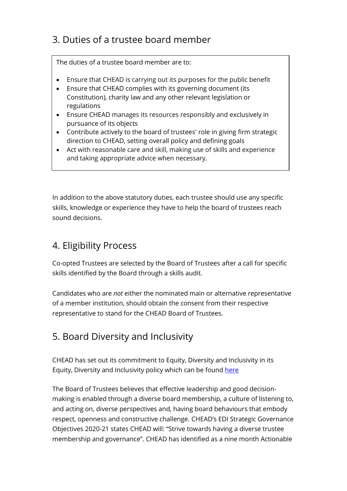## 3. Duties of a trustee board member

The duties of a trustee board member are to:

- Ensure that CHEAD is carrying out its purposes for the public benefit
- Ensure that CHEAD complies with its governing document (its Constitution), charity law and any other relevant legislation or regulations
- Ensure CHEAD manages its resources responsibly and exclusively in pursuance of its objects
- Contribute actively to the board of trustees' role in giving firm strategic direction to CHEAD, setting overall policy and defining goals
- Act with reasonable care and skill, making use of skills and experience and taking appropriate advice when necessary.

In addition to the above statutory duties, each trustee should use any specific skills, knowledge or experience they have to help the board of trustees reach sound decisions.

### 4. Eligibility Process

Co-opted Trustees are selected by the Board of Trustees after a call for specific skills identified by the Board through a skills audit.

Candidates who are *not* either the nominated main or alternative representative of a member institution, should obtain the consent from their respective representative to stand for the CHEAD Board of Trustees.

### 5. Board Diversity and Inclusivity

CHEAD has set out its commitment to Equity, Diversity and Inclusivity in its Equity, Diversity and Inclusivity policy which can be found [here](https://chead.ac.uk/wp-content/uploads/2020/10/Equity_Diversity_Inclusivity_Policy_Slides_FINAL.pdf)

The Board of Trustees believes that effective leadership and good decisionmaking is enabled through a diverse board membership, a culture of listening to, and acting on, diverse perspectives and, having board behaviours that embody respect, openness and constructive challenge. CHEAD's EDI Strategic Governance Objectives 2020-21 states CHEAD will: "Strive towards having a diverse trustee membership and governance". CHEAD has identified as a nine month Actionable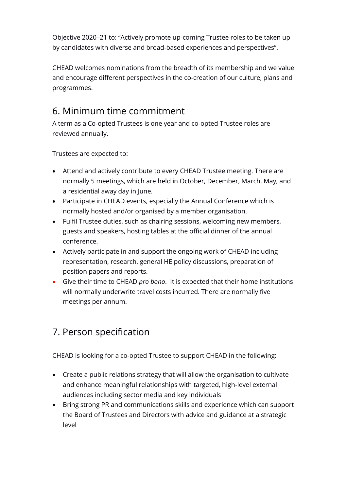Objective 2020–21 to: "Actively promote up-coming Trustee roles to be taken up by candidates with diverse and broad-based experiences and perspectives".

CHEAD welcomes nominations from the breadth of its membership and we value and encourage different perspectives in the co-creation of our culture, plans and programmes.

#### 6. Minimum time commitment

A term as a Co-opted Trustees is one year and co-opted Trustee roles are reviewed annually.

Trustees are expected to:

- Attend and actively contribute to every CHEAD Trustee meeting. There are normally 5 meetings, which are held in October, December, March, May, and a residential away day in June.
- Participate in CHEAD events, especially the Annual Conference which is normally hosted and/or organised by a member organisation.
- Fulfil Trustee duties, such as chairing sessions, welcoming new members, guests and speakers, hosting tables at the official dinner of the annual conference.
- Actively participate in and support the ongoing work of CHEAD including representation, research, general HE policy discussions, preparation of position papers and reports.
- Give their time to CHEAD *pro bono*. It is expected that their home institutions will normally underwrite travel costs incurred. There are normally five meetings per annum.

# 7. Person specification

CHEAD is looking for a co-opted Trustee to support CHEAD in the following:

- Create a public relations strategy that will allow the organisation to cultivate and enhance meaningful relationships with targeted, high-level external audiences including sector media and key individuals
- Bring strong PR and communications skills and experience which can support the Board of Trustees and Directors with advice and guidance at a strategic level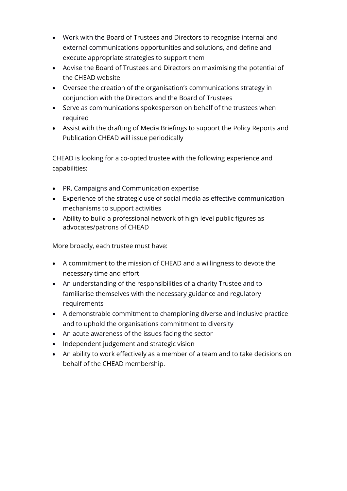- Work with the Board of Trustees and Directors to recognise internal and external communications opportunities and solutions, and define and execute appropriate strategies to support them
- Advise the Board of Trustees and Directors on maximising the potential of the CHEAD website
- Oversee the creation of the organisation's communications strategy in conjunction with the Directors and the Board of Trustees
- Serve as communications spokesperson on behalf of the trustees when required
- Assist with the drafting of Media Briefings to support the Policy Reports and Publication CHEAD will issue periodically

CHEAD is looking for a co-opted trustee with the following experience and capabilities:

- PR, Campaigns and Communication expertise
- Experience of the strategic use of social media as effective communication mechanisms to support activities
- Ability to build a professional network of high-level public figures as advocates/patrons of CHEAD

More broadly, each trustee must have:

- A commitment to the mission of CHEAD and a willingness to devote the necessary time and effort
- An understanding of the responsibilities of a charity Trustee and to familiarise themselves with the necessary guidance and regulatory requirements
- A demonstrable commitment to championing diverse and inclusive practice and to uphold the organisations commitment to diversity
- An acute awareness of the issues facing the sector
- Independent judgement and strategic vision
- An ability to work effectively as a member of a team and to take decisions on behalf of the CHEAD membership.